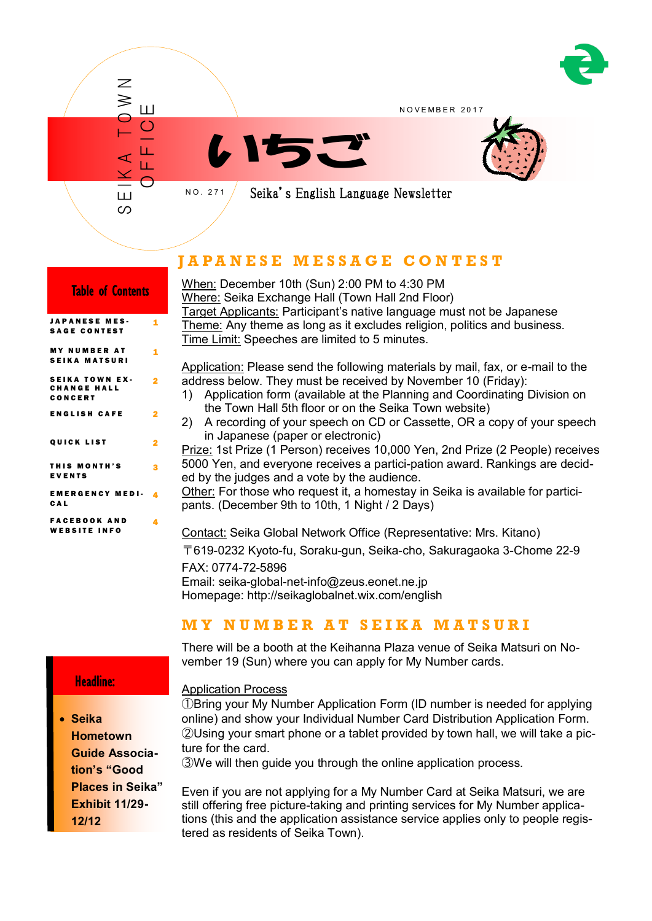

## **J A P A N E S E M E S S A G E C O N T E S T**

| <b>Table of Contents</b>                               |   |
|--------------------------------------------------------|---|
| <b>JAPANESE MES-</b><br><b>SAGE CONTEST</b>            | 1 |
| <b>MY NUMBER AT</b><br><b>SEIKA MATSURI</b>            | 1 |
| <b>SEIKA TOWN EX-</b><br><b>CHANGE HALL</b><br>CONCERT | 2 |
| <b>ENGLISH CAFE</b>                                    | 2 |
| <b>QUICK LIST</b>                                      | 2 |
| THIS MONTH'S<br><b>EVENTS</b>                          | 3 |
| <b>EMERGENCY MEDI-</b><br>CAL                          | 4 |
| <b>FACEBOOK AND</b><br><b>WEBSITE INFO</b>             | 4 |

## Headline:

ī

 **Seika Hometown Guide Association's "Good Places in Seika" Exhibit 11/29- 12/12**

When: December 10th (Sun) 2:00 PM to 4:30 PM Where: Seika Exchange Hall (Town Hall 2nd Floor) Target Applicants: Participant's native language must not be Japanese Theme: Any theme as long as it excludes religion, politics and business. Time Limit: Speeches are limited to 5 minutes. Application: Please send the following materials by mail, fax, or e-mail to the address below. They must be received by November 10 (Friday):

- 1) Application form (available at the Planning and Coordinating Division on the Town Hall 5th floor or on the Seika Town website)
- 2) A recording of your speech on CD or Cassette, OR a copy of your speech in Japanese (paper or electronic)

Prize: 1st Prize (1 Person) receives 10,000 Yen, 2nd Prize (2 People) receives 5000 Yen, and everyone receives a partici-pation award. Rankings are decided by the judges and a vote by the audience.

Other: For those who request it, a homestay in Seika is available for participants. (December 9th to 10th, 1 Night / 2 Days)

Contact: Seika Global Network Office (Representative: Mrs. Kitano) 〒619-0232 Kyoto-fu, Soraku-gun, Seika-cho, Sakuragaoka 3-Chome 22-9 FAX: 0774-72-5896 Email: seika-global-net-info@zeus.eonet.ne.jp Homepage: http://seikaglobalnet.wix.com/english

## **M Y N U M B E R A T S E I K A M A T S U R I**

There will be a booth at the Keihanna Plaza venue of Seika Matsuri on November 19 (Sun) where you can apply for My Number cards.

Application Process

①Bring your My Number Application Form (ID number is needed for applying online) and show your Individual Number Card Distribution Application Form. ②Using your smart phone or a tablet provided by town hall, we will take a picture for the card.

③We will then guide you through the online application process.

Even if you are not applying for a My Number Card at Seika Matsuri, we are still offering free picture-taking and printing services for My Number applications (this and the application assistance service applies only to people registered as residents of Seika Town).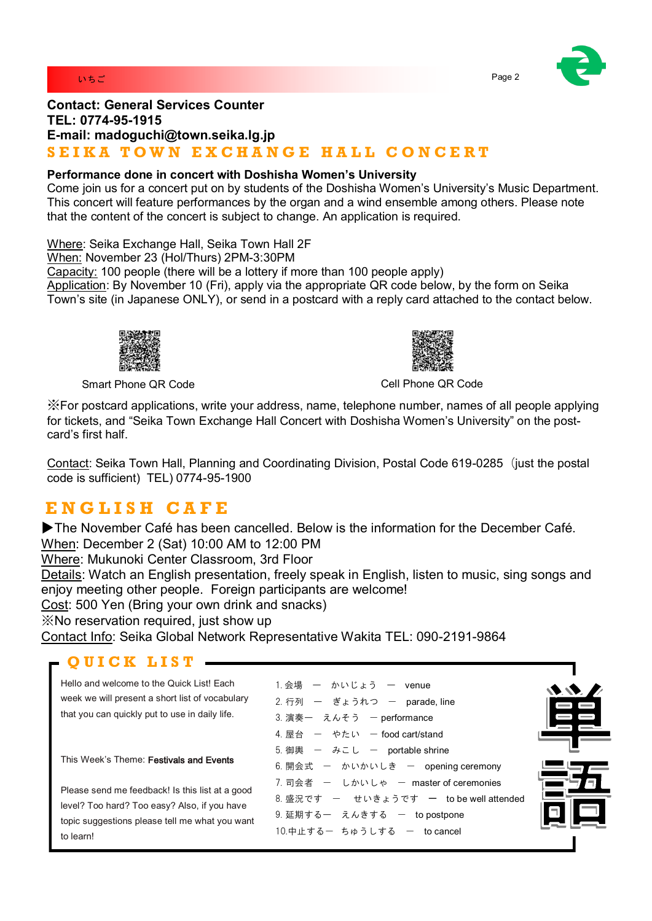



## **Contact: General Services Counter TEL: 0774-95-1915 E-mail: madoguchi@town.seika.lg.jp** SEIKA TOWN EXCHANGE HALL CONCERT

### **Performance done in concert with Doshisha Women's University**

Come join us for a concert put on by students of the Doshisha Women's University's Music Department. This concert will feature performances by the organ and a wind ensemble among others. Please note that the content of the concert is subject to change. An application is required.

Where: Seika Exchange Hall, Seika Town Hall 2F

When: November 23 (Hol/Thurs) 2PM-3:30PM

Capacity: 100 people (there will be a lottery if more than 100 people apply)

Application: By November 10 (Fri), apply via the appropriate QR code below, by the form on Seika Town's site (in Japanese ONLY), or send in a postcard with a reply card attached to the contact below.



Smart Phone QR Code Cell Phone QR Code Cell Phone QR Code

※For postcard applications, write your address, name, telephone number, names of all people applying for tickets, and "Seika Town Exchange Hall Concert with Doshisha Women's University" on the postcard's first half.

Contact: Seika Town Hall, Planning and Coordinating Division, Postal Code 619-0285 (just the postal code is sufficient) TEL) 0774-95-1900

# **E N G L I S H C A F E**

▶The November Café has been cancelled. Below is the information for the December Café. When: December 2 (Sat) 10:00 AM to 12:00 PM Where: Mukunoki Center Classroom, 3rd Floor Details: Watch an English presentation, freely speak in English, listen to music, sing songs and enjoy meeting other people. Foreign participants are welcome! Cost: 500 Yen (Bring your own drink and snacks)

※No reservation required, just show up

Contact Info: Seika Global Network Representative Wakita TEL: 090-2191-9864

## **Q U I C K L I S T**

Hello and welcome to the Quick List! Each week we will present a short list of vocabulary that you can quickly put to use in daily life.

This Week's Theme: Festivals and Events

Please send me feedback! Is this list at a good level? Too hard? Too easy? Also, if you have topic suggestions please tell me what you want to learn!

| 1. 会場 ー かいじょう ー venue                   |  |
|-----------------------------------------|--|
| 2. 行列 ー ぎょうれつ ー parade, line            |  |
| 3. 演奏一 えんそう ー performance               |  |
| 4. 屋台 ー やたい ー food cart/stand           |  |
| 5. 御輿 ー みこし ー portable shrine           |  |
| 6. 開会式 ー かいかいしき ー opening ceremony      |  |
| 7. 司会者 ー しかいしゃ ー master of ceremonies   |  |
| 8. 盛況です ー せいきょうです ー to be well attended |  |
| 9.延期する― えんきする ― topostpone              |  |
| 10.中止するー ちゅうしする ー tocancel              |  |

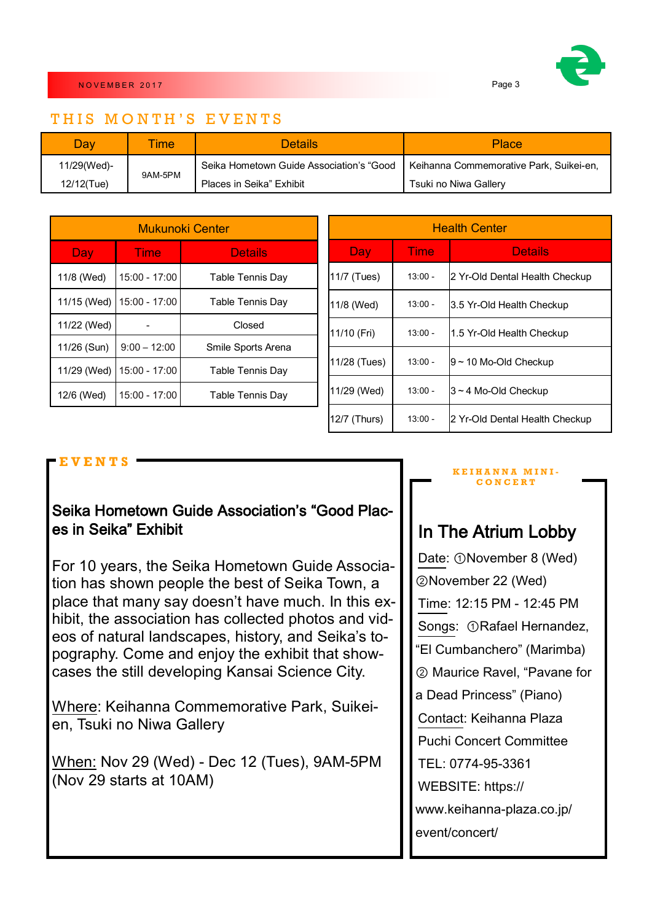

### THIS MONTH'S EVENTS

| Day         | ime     | <b>Details</b>                                                                     | <b>Place</b>          |  |
|-------------|---------|------------------------------------------------------------------------------------|-----------------------|--|
| 11/29(Wed)- | 9AM-5PM | Seika Hometown Guide Association's "Good   Keihanna Commemorative Park, Suikei-en, |                       |  |
| 12/12(Tue)  |         | Places in Seika" Exhibit                                                           | Tsuki no Niwa Gallery |  |

| Mukunoki Center |                 |                         |  |
|-----------------|-----------------|-------------------------|--|
| Day             | Time            | <b>Details</b>          |  |
| 11/8 (Wed)      | $15:00 - 17:00$ | <b>Table Tennis Day</b> |  |
| 11/15 (Wed)     | 15:00 - 17:00   | <b>Table Tennis Day</b> |  |
| 11/22 (Wed)     |                 | Closed                  |  |
| 11/26 (Sun)     | $9:00 - 12:00$  | Smile Sports Arena      |  |
| 11/29 (Wed)     | 15:00 - 17:00   | <b>Table Tennis Day</b> |  |
| 12/6 (Wed)      | 15:00 - 17:00   | <b>Table Tennis Day</b> |  |

| <b>Health Center</b> |                        |                                |  |
|----------------------|------------------------|--------------------------------|--|
| Day                  | <b>Details</b><br>Time |                                |  |
| 11/7 (Tues)          | $13:00 -$              | 2 Yr-Old Dental Health Checkup |  |
| 11/8 (Wed)           | $13:00 -$              | 3.5 Yr-Old Health Checkup      |  |
| 11/10 (Fri)          | $13:00 -$              | 1.5 Yr-Old Health Checkup      |  |
| 11/28 (Tues)         | $13:00 -$              | $9$ ~ 10 Mo-Old Checkup        |  |
| 11/29 (Wed)          | $13:00 -$              | 3~4 Mo-Old Checkup             |  |
| 12/7 (Thurs)         | $13:00 -$              | 2 Yr-Old Dental Health Checkup |  |

## **E V E N T S**

## Seika Hometown Guide Association's "Good Places in Seika" Exhibit

For 10 years, the Seika Hometown Guide Association has shown people the best of Seika Town, a place that many say doesn't have much. In this exhibit, the association has collected photos and videos of natural landscapes, history, and Seika's topography. Come and enjoy the exhibit that showcases the still developing Kansai Science City.

Where: Keihanna Commemorative Park, Suikeien, Tsuki no Niwa Gallery

When: Nov 29 (Wed) - Dec 12 (Tues), 9AM-5PM (Nov 29 starts at 10AM)

#### **K E I H A N N A M I N I - C O N C E R T**

# In The Atrium Lobby

Date: ①November 8 (Wed) ②November 22 (Wed) Time: 12:15 PM - 12:45 PM Songs: ①Rafael Hernandez, "El Cumbanchero" (Marimba) ② Maurice Ravel, "Pavane for a Dead Princess" (Piano) Contact: Keihanna Plaza Puchi Concert Committee TEL: 0774-95-3361 WEBSITE: https:// www.keihanna-plaza.co.jp/ event/concert/